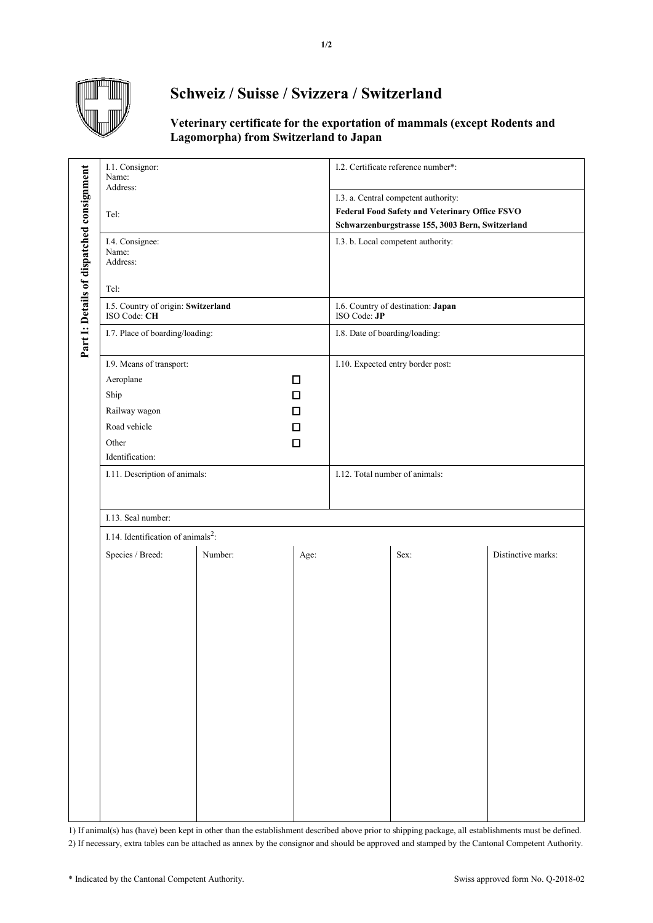

## **Schweiz / Suisse / Svizzera / Switzerland**

## **Veterinary certificate for the exportation of mammals (except Rodents and Lagomorpha) from Switzerland to Japan**

|                                           | I.1. Consignor:<br>Name:<br>Address:                      |                |                                | I.2. Certificate reference number*:              |      |                    |  |
|-------------------------------------------|-----------------------------------------------------------|----------------|--------------------------------|--------------------------------------------------|------|--------------------|--|
|                                           |                                                           |                |                                | I.3. a. Central competent authority:             |      |                    |  |
|                                           | Tel:                                                      |                |                                | Federal Food Safety and Veterinary Office FSVO   |      |                    |  |
|                                           |                                                           |                |                                | Schwarzenburgstrasse 155, 3003 Bern, Switzerland |      |                    |  |
| Part I: Details of dispatched consignment | I.4. Consignee:<br>Name:                                  |                |                                | I.3. b. Local competent authority:               |      |                    |  |
|                                           | Address:                                                  |                |                                |                                                  |      |                    |  |
|                                           | Tel:                                                      |                |                                | I.6. Country of destination: Japan               |      |                    |  |
|                                           | I.5. Country of origin: Switzerland<br>ISO Code: CH       |                |                                | ISO Code: JP                                     |      |                    |  |
|                                           | I.7. Place of boarding/loading:                           |                |                                | I.8. Date of boarding/loading:                   |      |                    |  |
|                                           | I.9. Means of transport:                                  |                |                                | I.10. Expected entry border post:                |      |                    |  |
|                                           |                                                           | Aeroplane<br>□ |                                |                                                  |      |                    |  |
|                                           | $\Box$<br>Ship<br>Railway wagon<br>□<br>Road vehicle<br>□ |                |                                |                                                  |      |                    |  |
|                                           |                                                           |                |                                |                                                  |      |                    |  |
|                                           |                                                           |                |                                |                                                  |      |                    |  |
|                                           | Other                                                     | □              |                                |                                                  |      |                    |  |
|                                           | Identification:                                           |                |                                |                                                  |      |                    |  |
|                                           | I.11. Description of animals:                             |                | I.12. Total number of animals: |                                                  |      |                    |  |
|                                           |                                                           |                |                                |                                                  |      |                    |  |
|                                           | I.13. Seal number:                                        |                |                                |                                                  |      |                    |  |
|                                           | I.14. Identification of animals <sup>2</sup> :            |                |                                |                                                  |      |                    |  |
|                                           | Species / Breed:                                          | Number:        | Age:                           |                                                  | Sex: | Distinctive marks: |  |
|                                           |                                                           |                |                                |                                                  |      |                    |  |
|                                           |                                                           |                |                                |                                                  |      |                    |  |
|                                           |                                                           |                |                                |                                                  |      |                    |  |
|                                           |                                                           |                |                                |                                                  |      |                    |  |
|                                           |                                                           |                |                                |                                                  |      |                    |  |
|                                           |                                                           |                |                                |                                                  |      |                    |  |
|                                           |                                                           |                |                                |                                                  |      |                    |  |
|                                           |                                                           |                |                                |                                                  |      |                    |  |
|                                           |                                                           |                |                                |                                                  |      |                    |  |
|                                           |                                                           |                |                                |                                                  |      |                    |  |
|                                           |                                                           |                |                                |                                                  |      |                    |  |

1) If animal(s) has (have) been kept in other than the establishment described above prior to shipping package, all establishments must be defined. 2) If necessary, extra tables can be attached as annex by the consignor and should be approved and stamped by the Cantonal Competent Authority.